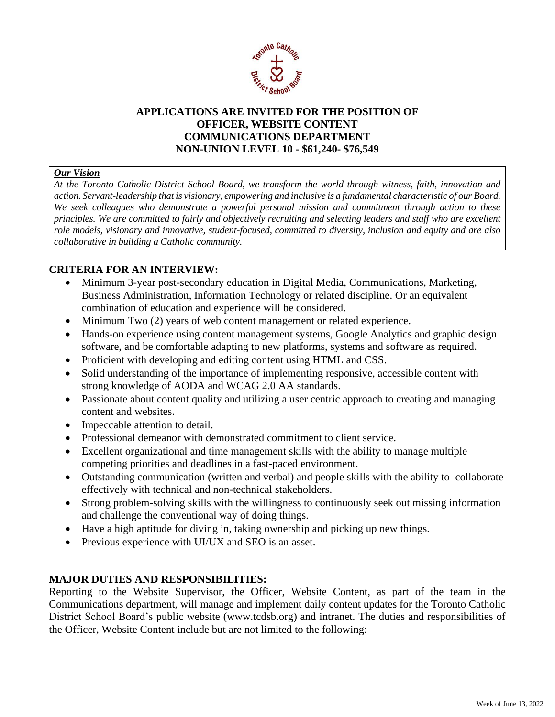

## **APPLICATIONS ARE INVITED FOR THE POSITION OF OFFICER, WEBSITE CONTENT COMMUNICATIONS DEPARTMENT NON-UNION LEVEL 10 - \$61,240- \$76,549**

#### *Our Vision*

*At the Toronto Catholic District School Board, we transform the world through witness, faith, innovation and action. Servant-leadership that is visionary, empowering and inclusive is a fundamental characteristic of our Board. We seek colleagues who demonstrate a powerful personal mission and commitment through action to these principles. We are committed to fairly and objectively recruiting and selecting leaders and staff who are excellent role models, visionary and innovative, student-focused, committed to diversity, inclusion and equity and are also collaborative in building a Catholic community.*

# **CRITERIA FOR AN INTERVIEW:**

- Minimum 3-year post-secondary education in Digital Media, Communications, Marketing, Business Administration, Information Technology or related discipline. Or an equivalent combination of education and experience will be considered.
- Minimum Two (2) years of web content management or related experience.
- Hands-on experience using content management systems, Google Analytics and graphic design software, and be comfortable adapting to new platforms, systems and software as required.
- Proficient with developing and editing content using HTML and CSS.
- Solid understanding of the importance of implementing responsive, accessible content with strong knowledge of AODA and WCAG 2.0 AA standards.
- Passionate about content quality and utilizing a user centric approach to creating and managing content and websites.
- Impeccable attention to detail.
- Professional demeanor with demonstrated commitment to client service.
- Excellent organizational and time management skills with the ability to manage multiple competing priorities and deadlines in a fast-paced environment.
- Outstanding communication (written and verbal) and people skills with the ability to collaborate effectively with technical and non-technical stakeholders.
- Strong problem-solving skills with the willingness to continuously seek out missing information and challenge the conventional way of doing things.
- Have a high aptitude for diving in, taking ownership and picking up new things.
- Previous experience with UI/UX and SEO is an asset.

## **MAJOR DUTIES AND RESPONSIBILITIES:**

Reporting to the Website Supervisor, the Officer, Website Content, as part of the team in the Communications department, will manage and implement daily content updates for the Toronto Catholic District School Board's public website (www.tcdsb.org) and intranet. The duties and responsibilities of the Officer, Website Content include but are not limited to the following: